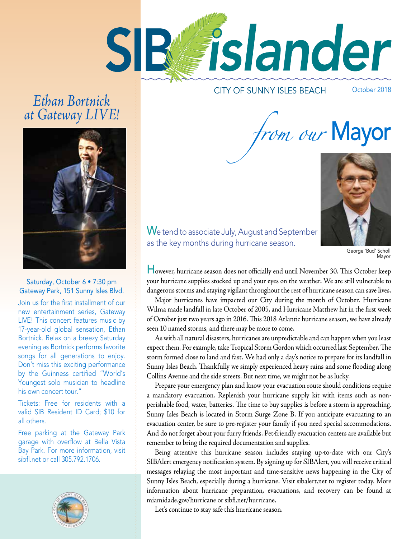

# *Ethan Bortnick at Gateway LIVE!*

**CITY OF SUNNY ISLES BEACH** 

October 2018

from our Mayor



#### Saturday, October 6 • 7:30 pm Gateway Park, 151 Sunny Isles Blvd.

Join us for the frst installment of our new entertainment series, Gateway LIVE! This concert features music by 17-year-old global sensation, Ethan Bortnick. Relax on a breezy Saturday evening as Bortnick performs favorite songs for all generations to enjoy. Don't miss this exciting performance by the Guinness certifed "World's Youngest solo musician to headline his own concert tour."

Tickets: Free for residents with a valid SIB Resident ID Card; \$10 for all others.

Free parking at the Gateway Park garage with overflow at Bella Vista Bay Park. For more information, visit sibf.net or call 305.792.1706.



We tend to associate July, August and September as the key months during hurricane season.

George 'Bud' Scholl Mayor

However, hurricane season does not officially end until November 30. This October keep your hurricane supplies stocked up and your eyes on the weather. We are still vulnerable to dangerous storms and staying vigilant throughout the rest of hurricane season can save lives.

Major hurricanes have impacted our City during the month of October. Hurricane Wilma made landfall in late October of 2005, and Hurricane Matthew hit in the frst week of October just two years ago in 2016. Tis 2018 Atlantic hurricane season, we have already seen 10 named storms, and there may be more to come.

As with all natural disasters, hurricanes are unpredictable and can happen when you least expect them. For example, take Tropical Storm Gordon which occurred last September. The storm formed close to land and fast. We had only a day's notice to prepare for its landfall in Sunny Isles Beach. Tankfully we simply experienced heavy rains and some fooding along Collins Avenue and the side streets. But next time, we might not be as lucky.

Prepare your emergency plan and know your evacuation route should conditions require a mandatory evacuation. Replenish your hurricane supply kit with items such as nonperishable food, water, batteries. The time to buy supplies is before a storm is approaching. Sunny Isles Beach is located in Storm Surge Zone B. If you anticipate evacuating to an evacuation center, be sure to pre-register your family if you need special accommodations. And do not forget about your furry friends. Pet-friendly evacuation centers are available but remember to bring the required documentation and supplies.

Being attentive this hurricane season includes staying up-to-date with our City's SIBAlert emergency notifcation system. By signing up for SIBAlert, you will receive critical messages relaying the most important and time-sensitive news happening in the City of Sunny Isles Beach, especially during a hurricane. Visit sibalert.net to register today. More information about hurricane preparation, evacuations, and recovery can be found at miamidade.gov/hurricane or sibf.net/hurricane.

Let's continue to stay safe this hurricane season.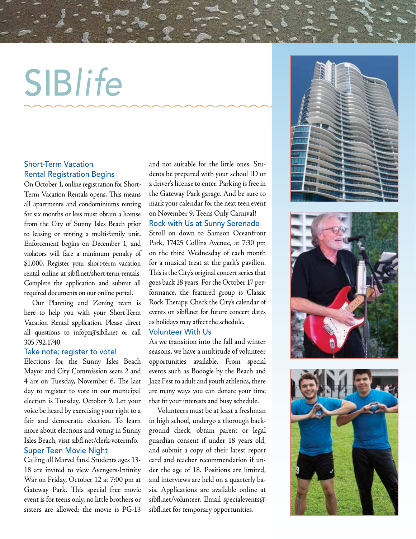# SIBlife

#### Short-Term Vacation Rental Registration Begins

 Complete the application and submit all On October 1, online registration for Short-Term Vacation Rentals opens. This means all apartments and condominiums renting for six months or less must obtain a license from the City of Sunny Isles Beach prior to leasing or renting a multi-family unit. Enforcement begins on December 1, and violators will face a minimum penalty of \$1,000. Register your short-term vacation rental online at [sibf.net/short-term-rentals](https://sibfl.net/short-term-rentals). required documents on our online portal.

 Vacation Rental application. Please direct Our Planning and Zoning team is here to help you with your Short-Term all questions to [infopz@sibf.net](mailto:infopz@sibfl.net) or call 305.792.1740.

#### Take note; register to vote!

Elections for the Sunny Isles Beach Mayor and City Commission seats 2 and 4 are on Tuesday, November 6. The last day to register to vote in our municipal election is Tuesday, October 9. Let your voice be heard by exercising your right to a fair and democratic election. To learn more about elections and voting in Sunny Isles Beach, visit [sibf.net/clerk-voterinfo.](https://sibfl.net/clerk-voterinfo) Super Teen Movie Night

Calling all Marvel fans! Students ages 13- 18 are invited to view Avengers-Infnity War on Friday, October 12 at 7:00 pm at Gateway Park. This special free movie event is for teens only, no little brothers or sisters are allowed; the movie is PG-13

and not suitable for the little ones. Students be prepared with your school ID or a driver's license to enter. Parking is free in the Gateway Park garage. And be sure to mark your calendar for the next teen event on November 9, Teens Only Carnival!

Rock with Us at Sunny Serenade Stroll on down to Samson Oceanfront

Park, 17425 Collins Avenue, at 7:30 pm on the third Wednesday of each month for a musical treat at the park's pavilion. This is the City's original concert series that goes back 18 years. For the October 17 performance, the featured group is Classic Rock Therapy. Check the City's calendar of events on [sibf.net](https://sibfl.net) for future concert dates as holidays may afect the schedule.

#### Volunteer With Us

As we transition into the fall and winter seasons, we have a multitude of volunteer opportunities available. From special events such as Booogie by the Beach and Jazz Fest to adult and youth athletics, there are many ways you can donate your time that ft your interests and busy schedule.

Volunteers must be at least a freshman in high school, undergo a thorough background check, obtain parent or legal guardian consent if under 18 years old, and submit a copy of their latest report card and teacher recommendation if under the age of 18. Positions are limited, and interviews are held on a quarterly basis. Applications are available online at [sibf.net/volunteer](https://sibfl.net/volunteer). Email specialevents@ [sibf.net](https://sibfl.net) for temporary opportunities.





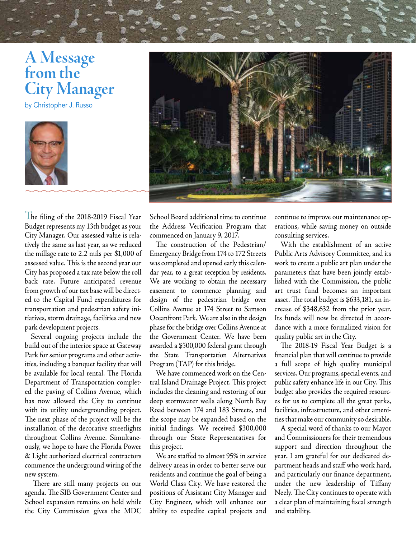# **A Message from the City Manager**

by Christopher J. Russo



The fling of the 2018-2019 Fiscal Year Budget represents my 13th budget as your City Manager. Our assessed value is relatively the same as last year, as we reduced the millage rate to 2.2 mils per \$1,000 of assessed value. This is the second year our City has proposed a tax rate below the roll back rate. Future anticipated revenue from growth of our tax base will be directed to the Capital Fund expenditures for transportation and pedestrian safety initiatives, storm drainage, facilities and new park development projects.

Several ongoing projects include the build out of the interior space at Gateway Park for senior programs and other activities, including a banquet facility that will be available for local rental. The Florida Department of Transportation completed the paving of Collins Avenue, which has now allowed the City to continue with its utility undergrounding project. The next phase of the project will be the installation of the decorative streetlights throughout Collins Avenue. Simultaneously, we hope to have the Florida Power & Light authorized electrical contractors commence the underground wiring of the new system.

There are still many projects on our agenda. The SIB Government Center and School expansion remains on hold while the City Commission gives the MDC

School Board additional time to continue the Address Verifcation Program that commenced on January 9, 2017.

The construction of the Pedestrian/ Emergency Bridge from 174 to 172 Streets was completed and opened early this calendar year, to a great reception by residents. We are working to obtain the necessary easement to commence planning and design of the pedestrian bridge over Collins Avenue at 174 Street to Samson Oceanfront Park. We are also in the design phase for the bridge over Collins Avenue at the Government Center. We have been awarded a \$500,000 federal grant through the State Transportation Alternatives Program (TAP) for this bridge.

We have commenced work on the Central Island Drainage Project. This project includes the cleaning and restoring of our deep stormwater wells along North Bay Road between 174 and 183 Streets, and the scope may be expanded based on the initial fndings. We received \$300,000 through our State Representatives for this project.

We are stafed to almost 95% in service delivery areas in order to better serve our residents and continue the goal of being a World Class City. We have restored the positions of Assistant City Manager and City Engineer, which will enhance our ability to expedite capital projects and continue to improve our maintenance operations, while saving money on outside consulting services.

With the establishment of an active Public Arts Advisory Committee, and its work to create a public art plan under the parameters that have been jointly established with the Commission, the public art trust fund becomes an important asset. The total budget is \$633,181, an increase of \$348,632 from the prior year. Its funds will now be directed in accordance with a more formalized vision for quality public art in the City.

The 2018-19 Fiscal Year Budget is a fnancial plan that will continue to provide a full scope of high quality municipal services. Our programs, special events, and public safety enhance life in our City. This budget also provides the required resources for us to complete all the great parks, facilities, infrastructure, and other amenities that make our community so desirable.

A special word of thanks to our Mayor and Commissioners for their tremendous support and direction throughout the year. I am grateful for our dedicated department heads and staff who work hard, and particularly our fnance department, under the new leadership of Tifany Neely. The City continues to operate with a clear plan of maintaining fscal strength and stability.

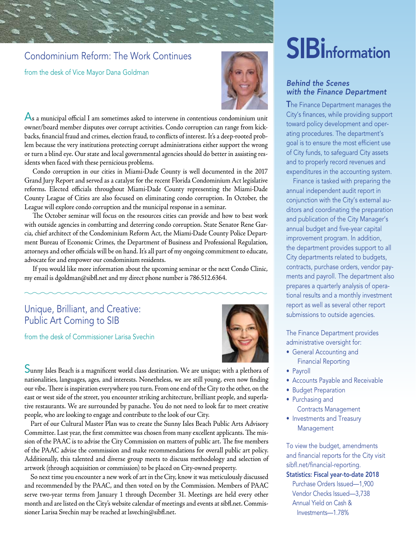### Condominium Reform: The Work Continues

from the desk of Vice Mayor Dana Goldman



 $\overline{\mathsf{A}}$ s a municipal official I am sometimes asked to intervene in contentious condominium unit owner/board member disputes over corrupt activities. Condo corruption can range from kickbacks, fnancial fraud and crimes, election fraud, to conficts of interest. It's a deep-rooted problem because the very institutions protecting corrupt administrations either support the wrong or turn a blind eye. Our state and local governmental agencies should do better in assisting residents when faced with these pernicious problems.

Condo corruption in our cities in Miami-Dade County is well documented in the 2017 Grand Jury Report and served as a catalyst for the recent Florida Condominium Act legislative reforms. Elected officials throughout Miami-Dade County representing the Miami-Dade County League of Cities are also focused on eliminating condo corruption. In October, the League will explore condo corruption and the municipal response in a seminar.

The October seminar will focus on the resources cities can provide and how to best work with outside agencies in combatting and deterring condo corruption. State Senator Rene Garcia, chief architect of the Condominium Reform Act, the Miami-Dade County Police Department Bureau of Economic Crimes, the Department of Business and Professional Regulation, attorneys and other officials will be on hand. It's all part of my ongoing commitment to educate, advocate for and empower our condominium residents.

If you would like more information about the upcoming seminar or the next Condo Clinic, my email is [dgoldman@sibf.net](mailto:dgoldman@sibfl.net) and my direct phone number is 786.512.6364.

#### Unique, Brilliant, and Creative: Public Art Coming to SIB

from the desk of Commissioner Larisa Svechin



Sunny Isles Beach is a magnifcent world class destination. We are unique; with a plethora of nationalities, languages, ages, and interests. Nonetheless, we are still young, even now fnding our vibe. There is inspiration everywhere you turn. From one end of the City to the other, on the east or west side of the street, you encounter striking architecture, brilliant people, and superlative restaurants. We are surrounded by panache. You do not need to look far to meet creative people, who are looking to engage and contribute to the look of our City.

Part of our Cultural Master Plan was to create the Sunny Isles Beach Public Arts Advisory Committee. Last year, the first committee was chosen from many excellent applicants. The mission of the PAAC is to advise the City Commission on matters of public art. The five members of the PAAC advise the commission and make recommendations for overall public art policy. Additionally, this talented and diverse group meets to discuss methodology and selection of artwork (through acquisition or commission) to be placed on City-owned property.

So next time you encounter a new work of art in the City, know it was meticulously discussed and recommended by the PAAC, and then voted on by the Commission. Members of PAAC serve two-year terms from January 1 through December 31. Meetings are held every other month and are listed on the City's website calendar of meetings and events at [sibf.net.](https://sibfl.net) Commissioner Larisa Svechin may be reached at [lsvechin@sibf.net.](mailto:lsvechin@sibfl.net)

# **SIB** information

#### *Behind the Scenes with the Finance Department*

The Finance Department manages the City's finances, while providing support toward policy development and operating procedures. The department's goal is to ensure the most efficient use of City funds, to safeguard City assets and to properly record revenues and expenditures in the accounting system.

Finance is tasked with preparing the annual independent audit report in conjunction with the City's external auditors and coordinating the preparation and publication of the City Manager's annual budget and five-year capital improvement program. In addition, the department provides support to all City departments related to budgets, contracts, purchase orders, vendor payments and payroll. The department also prepares a quarterly analysis of operational results and a monthly investment report as well as several other report submissions to outside agencies.

The Finance Department provides administrative oversight for:

- General Accounting and Financial Reporting
- Payroll
- Accounts Payable and Receivable
- Budget Preparation
- Purchasing and
	- Contracts Management
- Investments and Treasury Management

To view the budget, amendments and financial reports for the City visit sibfl.net/financial-reporting.

#### Statistics: Fiscal year-to-date 2018

Purchase Orders Issued—1,900 Vendor Checks Issued—3,738 Annual Yield on Cash &  [Investments—1.78%](https://Investments�1.78)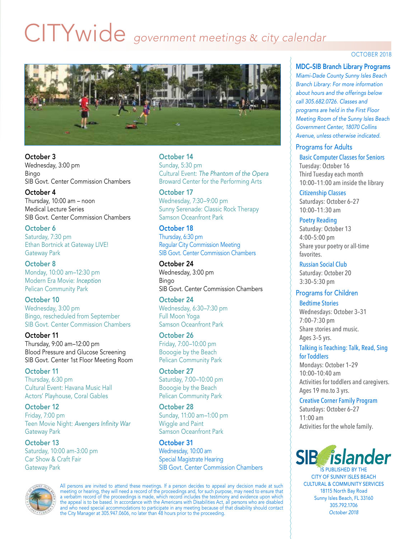# CITYwide *government meetings* & *city calendar*



October 3 Wednesday, 3:00 pm Bingo SIB Govt. Center Commission Chambers

October 4 Thursday, 10:00 am – noon Medical Lecture Series SIB Govt. Center Commission Chambers

October 6 Saturday, 7:30 pm Ethan Bortnick at Gateway LIVE! Gateway Park

October 8 Monday, 10:00 am–12:30 pm Modern Era Movie: *Inception*  Pelican Community Park

October 10 Wednesday, 3:00 pm Bingo, rescheduled from September SIB Govt. Center Commission Chambers

October 11 Thursday, 9:00 am–12:00 pm Blood Pressure and Glucose Screening SIB Govt. Center 1st Floor Meeting Room

October 11 Thursday, 6:30 pm Cultural Event: Havana Music Hall Actors' Playhouse, Coral Gables

October 12 Friday, 7:00 pm Teen Movie Night: *Avengers Infnity War*  Gateway Park

October 13 Saturday, 10:00 am-3:00 pm Car Show & Craft Fair Gateway Park

October 14

Sunday, 5:30 pm Cultural Event: *The Phantom of the Opera*  Broward Center for the Performing Arts

October 17 Wednesday, 7:30–9:00 pm Sunny Serenade: Classic Rock Therapy Samson Oceanfront Park

#### October 18

Thursday, 6:30 pm Regular City Commission Meeting SIB Govt. Center Commission Chambers

October 24 Wednesday, 3:00 pm Bingo SIB Govt. Center Commission Chambers

#### October 24

Wednesday, 6:30–7:30 pm Full Moon Yoga Samson Oceanfront Park

October 26 Friday, 7:00–10:00 pm

Booogie by the Beach Pelican Community Park

October 27 Saturday, 7:00–10:00 pm Booogie by the Beach Pelican Community Park

October 28 Sunday, 11:00 am–1:00 pm Wiggle and Paint Samson Oceanfront Park

October 31 Wednesday, 10:00 am Special Magistrate Hearing SIB Govt. Center Commission Chambers



All persons are invited to attend these meetings. If a person decides to appeal any decision made at such meeting or hearing, they will need a record of the proceedings and, for such purpose, may need to ensure that a verbatim record of the proceedings is made, which record includes the testimony and evidence upon which the appeal is to be based. In accordance with the Americans with Disabilities Act, all persons who are disabled and who need special accommodations to participate in any meeting because of that disability should contact the City Manager at 305.947.0606, no later than 48 hours prior to the proceeding.

#### OCTOBER 2018

MDC–SIB Branch Library Programs

*Miami-Dade County Sunny Isles Beach Branch Library: For more information about hours and the offerings below call 305.682.0726. Classes and programs are held in the First Floor Meeting Room of the Sunny Isles Beach Government Center, 18070 Collins Avenue, unless otherwise indicated.* 

#### Programs for Adults

Basic Computer Classes for Seniors Tuesday: October 16 Third Tuesday each month 10:00–11:00 am inside the library

Citizenship Classes Saturdays: October 6–27 10:00–11:30 am

Poetry Reading

Saturday: October 13 4:00–5:00 pm Share your poetry or all-time favorites.

Russian Social Club Saturday: October 20 3:30–5:30 pm

#### Programs for Children

Bedtime Stories Wednesdays: October 3–31 7:00–7:30 pm Share stories and music. Ages 3–5 yrs.

Talking is Teaching: Talk, Read, Sing for Toddlers Mondays: October 1–29 10:00–10:40 am Activities for toddlers and caregivers. Ages 19 mo.to 3 yrs.

Creative Corner Family Program

Saturdays: October 6–27 11:00 am Activities for the whole family.



IS PUBLISHED BY THE CITY OF SUNNY ISLES BEACH CULTURAL & COMMUNITY SERVICES 18115 North Bay Road Sunny Isles Beach, FL 33160 305.792.1706 *October 2018*